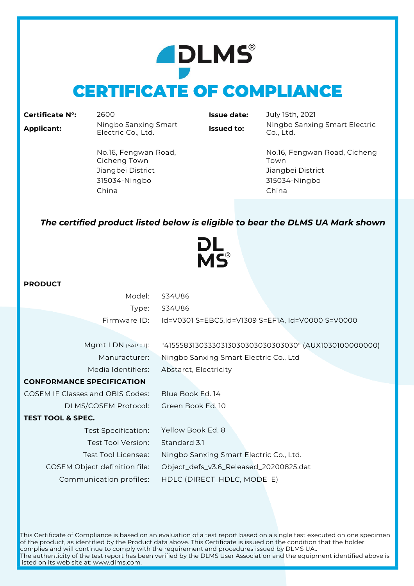# **ADLMS® CERTIFICATE OF COMPLIANCE**

|  | <b>Certificate N°:</b> |  |
|--|------------------------|--|
|  |                        |  |

**Certificate N°:** 2600 **Issue date:** July 15th, 2021 **Applicant:** Ningbo Sanxing Smart

**Issued to:** Ningbo Sanxing Smart Electric Co., Ltd.

No.16, Fengwan Road, Cicheng Town Jiangbei District Jiangbei District 315034-Ningbo 315034-Ningbo China China

No.16, Fengwan Road, Cicheng Town

### *The certified product listed below is eligible to bear the DLMS UA Mark shown*



### **PRODUCT**

| Model:                                  | S34U86                                                |
|-----------------------------------------|-------------------------------------------------------|
|                                         |                                                       |
| Type:                                   | S34U86                                                |
| Firmware ID:                            | Id=V0301 S=EBC5,Id=V1309 S=EF1A, Id=V0000 S=V0000     |
|                                         |                                                       |
| Mgmt LDN $(SAP = 1)$ :                  | "41555831303330313030303030303030" (AUX1030100000000) |
| Manufacturer:                           | Ningbo Sanxing Smart Electric Co., Ltd                |
| Media Identifiers:                      | Abstarct, Electricity                                 |
| <b>CONFORMANCE SPECIFICATION</b>        |                                                       |
| <b>COSEM IF Classes and OBIS Codes:</b> | Blue Book Ed. 14                                      |
| DLMS/COSEM Protocol:                    | Green Book Ed. 10                                     |
| <b>TEST TOOL &amp; SPEC.</b>            |                                                       |
| Test Specification:                     | Yellow Book Ed. 8                                     |
| Test Tool Version:                      | Standard 3.1                                          |
| Test Tool Licensee:                     | Ningbo Sanxing Smart Electric Co., Ltd.               |
| COSEM Object definition file:           | Object_defs_v3.6_Released_20200825.dat                |
| Communication profiles:                 | HDLC (DIRECT_HDLC, MODE_E)                            |

This Certificate of Compliance is based on an evaluation of a test report based on a single test executed on one specimen of the product, as identified by the Product data above. This Certificate is issued on the condition that the holder complies and will continue to comply with the requirement and procedures issued by DLMS UA.. The authenticity of the test report has been verified by the DLMS User Association and the equipment identified above is listed on its web site at: www.dlms.com.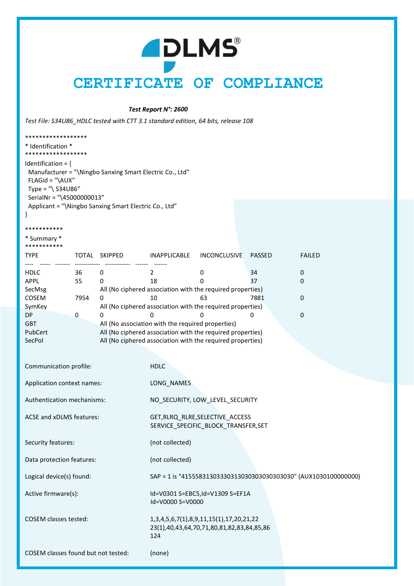## **ADLMS** CERTIFICATE OF COMPLIANCE

#### Test Report N°: 2600

Test File: S34U86\_HDLC tested with CTT 3.1 standard edition, 64 bits, release 108

| ******************                                                                                                                                        |  |
|-----------------------------------------------------------------------------------------------------------------------------------------------------------|--|
| * Identification *<br>******************                                                                                                                  |  |
| Identification = $\{$<br>Manufacturer = "\Ningbo Sanxing Smart Electric Co., Ltd"<br>$FLAGid = "AUX"$<br>Type = "\ $S34U86"$<br>SerialNr = "\45000000013" |  |
| Applicant = "\Ningbo Sanxing Smart Electric Co., Ltd"                                                                                                     |  |

#### \*\*\*\*\*\*\*\*\*\*\*

\* Summary \*

#### \*\*\*\*\*\*\*\*\*\*\*

| <b>TYPE</b> | TOTAL | <b>SKIPPED</b>                                             | <b>INAPPLICABLE</b> | <b>INCONCLUSIVE</b> | PASSED | <b>FAILED</b> |  |
|-------------|-------|------------------------------------------------------------|---------------------|---------------------|--------|---------------|--|
|             |       |                                                            |                     |                     |        |               |  |
| <b>HDLC</b> | 36    |                                                            |                     | 0                   | 34     |               |  |
| APPL        | 55    |                                                            | 18                  | 0                   | 37     | O             |  |
| SecMsg      |       | All (No ciphered association with the required properties) |                     |                     |        |               |  |
| COSEM       | 7954  | n                                                          | 10                  | 63                  | 7881   | 0             |  |
| SymKey      |       | All (No ciphered association with the required properties) |                     |                     |        |               |  |
| DP          | 0     | Ω                                                          |                     |                     |        |               |  |
| <b>GBT</b>  |       | All (No association with the required properties)          |                     |                     |        |               |  |
| PubCert     |       | All (No ciphered association with the required properties) |                     |                     |        |               |  |
| SecPol      |       | All (No ciphered association with the required properties) |                     |                     |        |               |  |
|             |       |                                                            |                     |                     |        |               |  |

| Communication profile:              | <b>HDLC</b>                                                                                              |  |
|-------------------------------------|----------------------------------------------------------------------------------------------------------|--|
| Application context names:          | LONG_NAMES                                                                                               |  |
| Authentication mechanisms:          | NO_SECURITY, LOW_LEVEL_SECURITY                                                                          |  |
| ACSE and xDLMS features:            | GET, RLRQ_RLRE, SELECTIVE_ACCESS<br>SERVICE_SPECIFIC_BLOCK_TRANSFER,SET                                  |  |
| Security features:                  | (not collected)                                                                                          |  |
| Data protection features:           | (not collected)                                                                                          |  |
| Logical device(s) found:            | SAP = 1 is "4155583130333031303030303030303030" (AUX1030100000000)                                       |  |
| Active firmware(s):                 | Id=V0301 S=EBC5,Id=V1309 S=EF1A<br>Id=V0000 S=V0000                                                      |  |
| <b>COSEM classes tested:</b>        | 1, 3, 4, 5, 6, 7(1), 8, 9, 11, 15(1), 17, 20, 21, 22<br>23(1),40,43,64,70,71,80,81,82,83,84,85,86<br>124 |  |
| COSEM classes found but not tested: | (none)                                                                                                   |  |